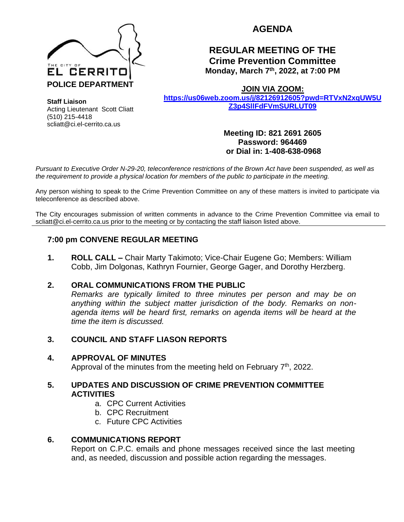

**AGENDA**

# **REGULAR MEETING OF THE Crime Prevention Committee Monday, March 7 th, 2022, at 7:00 PM**

**JOIN VIA ZOOM:**

**[https://us06web.zoom.us/j/82126912605?pwd=RTVxN2xqUW5U](https://us06web.zoom.us/j/82126912605?pwd=RTVxN2xqUW5UZ3p4SllFdFVmSURLUT09) [Z3p4SllFdFVmSURLUT09](https://us06web.zoom.us/j/82126912605?pwd=RTVxN2xqUW5UZ3p4SllFdFVmSURLUT09)**

**Staff Liaison** Acting Lieutenant Scott Cliatt (510) 215-4418 scliatt@ci.el-cerrito.ca.us

**Meeting ID: 821 2691 2605 Password: 964469 or Dial in: 1-408-638-0968** 

*Pursuant to Executive Order N-29-20, teleconference restrictions of the Brown Act have been suspended, as well as the requirement to provide a physical location for members of the public to participate in the meeting.*

Any person wishing to speak to the Crime Prevention Committee on any of these matters is invited to participate via teleconference as described above.

The City encourages submission of written comments in advance to the Crime Prevention Committee via email to scliatt@ci.el-cerrito.ca.us prior to the meeting or by contacting the staff liaison listed above.

## **7:00 pm CONVENE REGULAR MEETING**

**1. ROLL CALL –** Chair Marty Takimoto; Vice-Chair Eugene Go; Members: William Cobb, Jim Dolgonas, Kathryn Fournier, George Gager, and Dorothy Herzberg.

### **2. ORAL COMMUNICATIONS FROM THE PUBLIC**

*Remarks are typically limited to three minutes per person and may be on anything within the subject matter jurisdiction of the body. Remarks on nonagenda items will be heard first, remarks on agenda items will be heard at the time the item is discussed.* 

### **3. COUNCIL AND STAFF LIASON REPORTS**

### **4. APPROVAL OF MINUTES**

Approval of the minutes from the meeting held on February  $7<sup>th</sup>$ , 2022.

### **5. UPDATES AND DISCUSSION OF CRIME PREVENTION COMMITTEE ACTIVITIES**

- a. CPC Current Activities
- b. CPC Recruitment
- c. Future CPC Activities

### **6. COMMUNICATIONS REPORT**

Report on C.P.C. emails and phone messages received since the last meeting and, as needed, discussion and possible action regarding the messages.